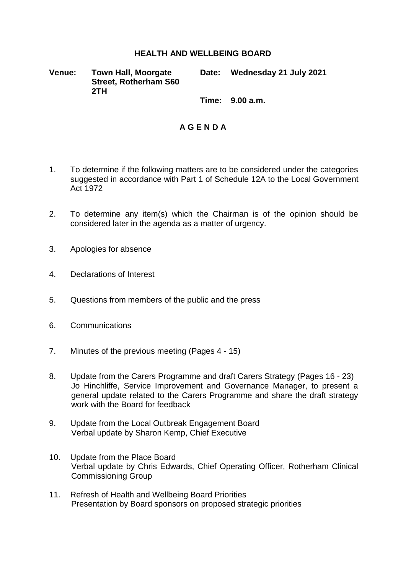## **HEALTH AND WELLBEING BOARD**

**Venue: Town Hall, Moorgate Street, Rotherham S60 2TH**

**Date: Wednesday 21 July 2021**

**Time: 9.00 a.m.**

## **A G E N D A**

- 1. To determine if the following matters are to be considered under the categories suggested in accordance with Part 1 of Schedule 12A to the Local Government Act 1972
- 2. To determine any item(s) which the Chairman is of the opinion should be considered later in the agenda as a matter of urgency.
- 3. Apologies for absence
- 4. Declarations of Interest
- 5. Questions from members of the public and the press
- 6. Communications
- 7. Minutes of the previous meeting (Pages 4 15)
- 8. Update from the Carers Programme and draft Carers Strategy (Pages 16 23) Jo Hinchliffe, Service Improvement and Governance Manager, to present a general update related to the Carers Programme and share the draft strategy work with the Board for feedback
- 9. Update from the Local Outbreak Engagement Board Verbal update by Sharon Kemp, Chief Executive
- 10. Update from the Place Board Verbal update by Chris Edwards, Chief Operating Officer, Rotherham Clinical Commissioning Group
- 11. Refresh of Health and Wellbeing Board Priorities Presentation by Board sponsors on proposed strategic priorities